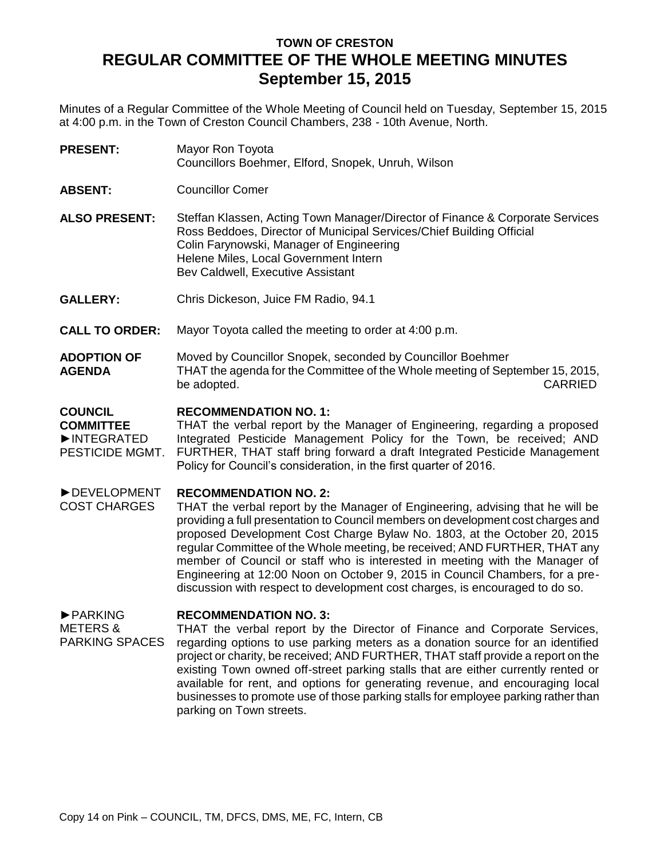# **TOWN OF CRESTON REGULAR COMMITTEE OF THE WHOLE MEETING MINUTES September 15, 2015**

Minutes of a Regular Committee of the Whole Meeting of Council held on Tuesday, September 15, 2015 at 4:00 p.m. in the Town of Creston Council Chambers, 238 - 10th Avenue, North.

- **PRESENT:** Mayor Ron Toyota Councillors Boehmer, Elford, Snopek, Unruh, Wilson
- **ABSENT:** Councillor Comer
- **ALSO PRESENT:** Steffan Klassen, Acting Town Manager/Director of Finance & Corporate Services Ross Beddoes, Director of Municipal Services/Chief Building Official Colin Farynowski, Manager of Engineering Helene Miles, Local Government Intern Bev Caldwell, Executive Assistant
- **GALLERY:** Chris Dickeson, Juice FM Radio, 94.1
- **CALL TO ORDER:** Mayor Toyota called the meeting to order at 4:00 p.m.
- **ADOPTION OF AGENDA** Moved by Councillor Snopek, seconded by Councillor Boehmer THAT the agenda for the Committee of the Whole meeting of September 15, 2015, be adopted. CARRIED

#### **COUNCIL RECOMMENDATION NO. 1:**

**COMMITTEE** ►INTEGRATED PESTICIDE MGMT. THAT the verbal report by the Manager of Engineering, regarding a proposed Integrated Pesticide Management Policy for the Town, be received; AND FURTHER, THAT staff bring forward a draft Integrated Pesticide Management Policy for Council's consideration, in the first quarter of 2016.

#### ►DEVELOPMENT **RECOMMENDATION NO. 2:**

COST CHARGES THAT the verbal report by the Manager of Engineering, advising that he will be providing a full presentation to Council members on development cost charges and proposed Development Cost Charge Bylaw No. 1803, at the October 20, 2015 regular Committee of the Whole meeting, be received; AND FURTHER, THAT any member of Council or staff who is interested in meeting with the Manager of Engineering at 12:00 Noon on October 9, 2015 in Council Chambers, for a prediscussion with respect to development cost charges, is encouraged to do so.

►PARKING **RECOMMENDATION NO. 3:**

METERS & PARKING SPACES THAT the verbal report by the Director of Finance and Corporate Services, regarding options to use parking meters as a donation source for an identified project or charity, be received; AND FURTHER, THAT staff provide a report on the existing Town owned off-street parking stalls that are either currently rented or available for rent, and options for generating revenue, and encouraging local businesses to promote use of those parking stalls for employee parking rather than parking on Town streets.